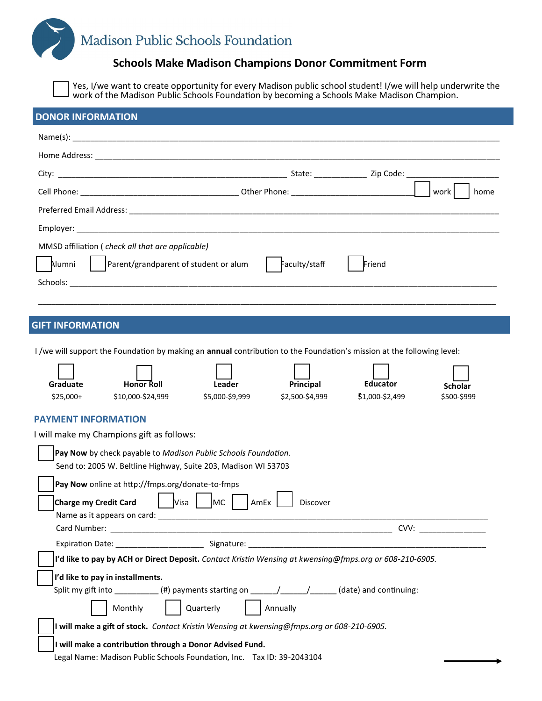# Madison Public Schools Foundation

## **Schools Make Madison Champions Donor Commitment Form**

Yes, I/we want to create opportunity for every Madison public school student! I/we will help underwrite the work of the Madison Public Schools Foundation by becoming a Schools Make Madison Champion.

| <b>DONOR INFORMATION</b>                                                                                                      |               |        |                |
|-------------------------------------------------------------------------------------------------------------------------------|---------------|--------|----------------|
|                                                                                                                               |               |        |                |
|                                                                                                                               |               |        |                |
|                                                                                                                               |               |        |                |
|                                                                                                                               |               |        | work l<br>home |
|                                                                                                                               |               |        |                |
|                                                                                                                               |               |        |                |
| MMSD affiliation (check all that are applicable)                                                                              |               |        |                |
| $\vert$ Parent/grandparent of student or alum<br>Alumni                                                                       | Faculty/staff | Friend |                |
|                                                                                                                               |               |        |                |
|                                                                                                                               |               |        |                |
| <b>GIFT INFORMATION</b>                                                                                                       |               |        |                |
|                                                                                                                               |               |        |                |
| I /we will support the Foundation by making an <b>annual</b> contribution to the Foundation's mission at the following level: |               |        |                |

| Graduate                                                                                                                         | <b>Honor Roll</b>                                                                                                                  | Leader          | Principal       | <b>Educator</b> |                               |  |  |
|----------------------------------------------------------------------------------------------------------------------------------|------------------------------------------------------------------------------------------------------------------------------------|-----------------|-----------------|-----------------|-------------------------------|--|--|
| $$25,000+$                                                                                                                       | \$10,000-\$24,999                                                                                                                  | \$5,000-\$9,999 | \$2,500-\$4,999 | \$1,000-\$2,499 | <b>Scholar</b><br>\$500-\$999 |  |  |
| <b>PAYMENT INFORMATION</b><br>I will make my Champions gift as follows:                                                          |                                                                                                                                    |                 |                 |                 |                               |  |  |
| Pay Now by check payable to Madison Public Schools Foundation.<br>Send to: 2005 W. Beltline Highway, Suite 203, Madison WI 53703 |                                                                                                                                    |                 |                 |                 |                               |  |  |
| Charge my Credit Card                                                                                                            | Pay Now online at http://fmps.org/donate-to-fmps<br>Visa                                                                           | MC<br>AmEx      | Discover        |                 |                               |  |  |
|                                                                                                                                  |                                                                                                                                    |                 |                 | CVV:            |                               |  |  |
|                                                                                                                                  |                                                                                                                                    |                 |                 |                 |                               |  |  |
| I'd like to pay by ACH or Direct Deposit. Contact Kristin Wensing at kwensing@fmps.org or 608-210-6905.                          |                                                                                                                                    |                 |                 |                 |                               |  |  |
| I'd like to pay in installments.                                                                                                 |                                                                                                                                    |                 |                 |                 |                               |  |  |
|                                                                                                                                  | Split my gift into $\qquad \qquad$ (#) payments starting on $\qquad \qquad / \qquad / \qquad$ (date) and continuing:<br>Monthly    | Quarterly       | Annually        |                 |                               |  |  |
| I will make a gift of stock. Contact Kristin Wensing at kwensing@fmps.org or 608-210-6905.                                       |                                                                                                                                    |                 |                 |                 |                               |  |  |
|                                                                                                                                  | I will make a contribution through a Donor Advised Fund.<br>Legal Name: Madison Public Schools Foundation, Inc. Tax ID: 39-2043104 |                 |                 |                 |                               |  |  |